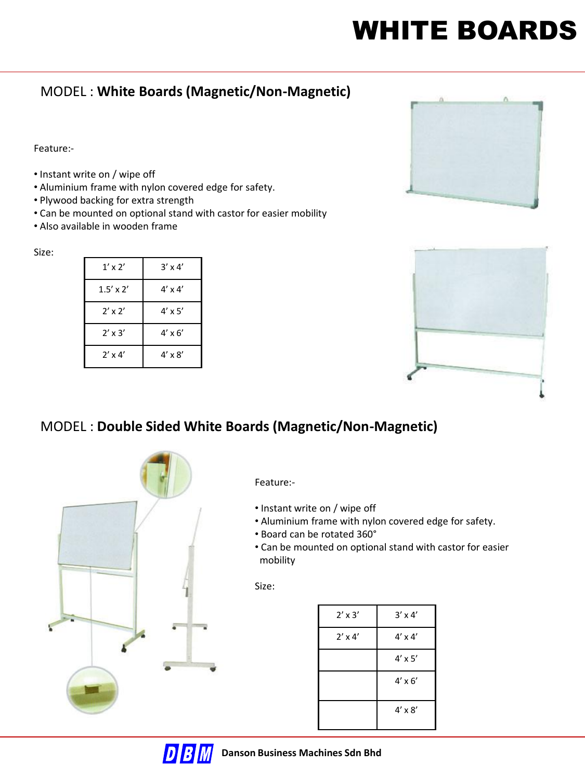# WHITE BOARDS

## MODEL : **White Boards (Magnetic/Non-Magnetic)**

Feature:-

- Instant write on / wipe off
- Aluminium frame with nylon covered edge for safety.
- Plywood backing for extra strength
- Can be mounted on optional stand with castor for easier mobility
- Also available in wooden frame

#### Size:

| $1'$ x $2'$      | $3' \times 4'$ |
|------------------|----------------|
| $1.5' \times 2'$ | $4' \times 4'$ |
| $2'$ x $2'$      | $4' \times 5'$ |
| $2' \times 3'$   | $4' \times 6'$ |
| $2' \times 4'$   | $4' \times 8'$ |





# MODEL : **Double Sided White Boards (Magnetic/Non-Magnetic)**



Feature:-

- Instant write on / wipe off
- Aluminium frame with nylon covered edge for safety.
- Board can be rotated 360°
- Can be mounted on optional stand with castor for easier mobility

| $3' \times 4'$ |
|----------------|
| $4' \times 4'$ |
| $4' \times 5'$ |
| $4' \times 6'$ |
| $4' \times 8'$ |
|                |

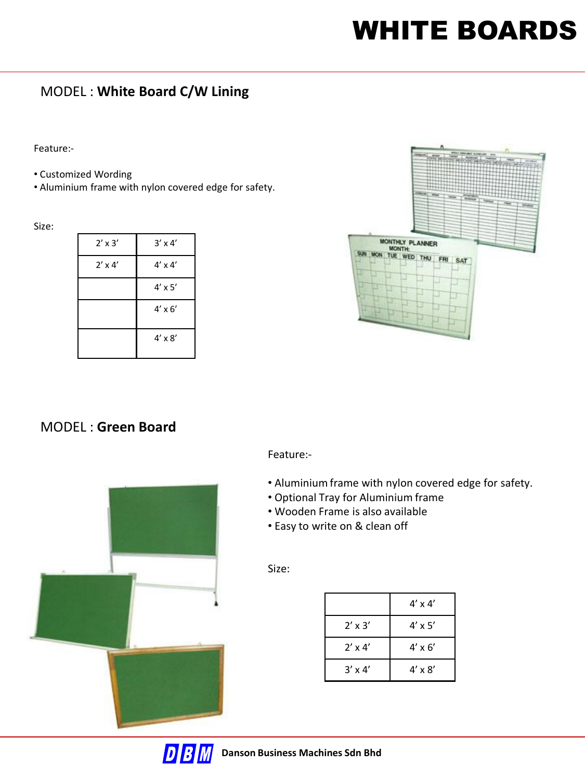# WHITE BOARDS

### MODEL : **White Board C/W Lining**

Feature:-

- Customized Wording
- Aluminium frame with nylon covered edge for safety.

Size:

| $2' \times 3'$ | $3' \times 4'$ |
|----------------|----------------|
| $2' \times 4'$ | $4' \times 4'$ |
|                | $4' \times 5'$ |
|                | $4' \times 6'$ |
|                | $4' \times 8'$ |



### MODEL : **Green Board**



Feature:-

- Aluminium frame with nylon covered edge for safety.
- Optional Tray for Aluminium frame
- Wooden Frame is also available
- Easy to write on & clean off

|                | $4' \times 4'$ |
|----------------|----------------|
| $2'$ x $3'$    | $4' \times 5'$ |
| $2' \times 4'$ | $4' \times 6'$ |
| $3' \times 4'$ | $4' \times 8'$ |

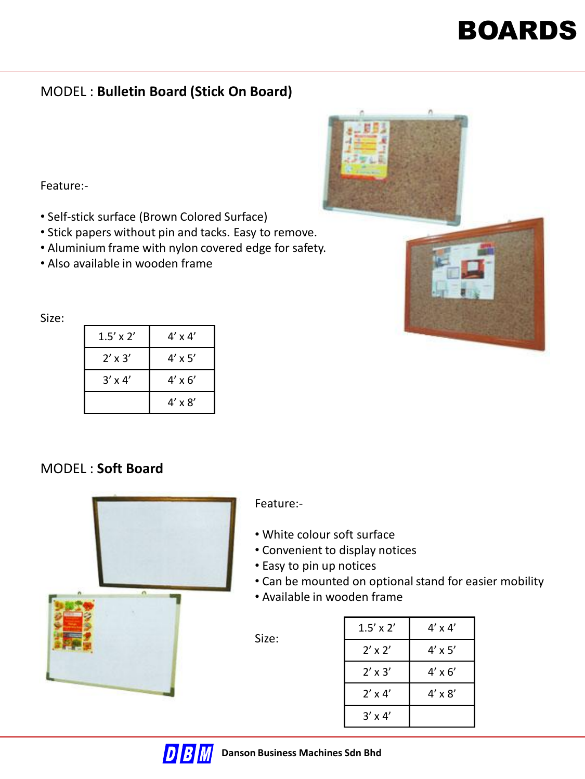### MODEL : **Bulletin Board (Stick On Board)**

Feature:-

- Self-stick surface (Brown Colored Surface)
- Stick papers without pin and tacks. Easy to remove.
- Aluminium frame with nylon covered edge for safety.
- Also available in wooden frame

Size:

| $1.5' \times 2'$ | $4' \times 4'$ |
|------------------|----------------|
| $2' \times 3'$   | $4' \times 5'$ |
| $3' \times 4'$   | $4' \times 6'$ |
|                  | $4' \times 8'$ |

#### MODEL : **Soft Board**



Feature:-

- White colour soft surface
- Convenient to display notices
- Easy to pin up notices
- Can be mounted on optional stand for easier mobility
- Available in wooden frame



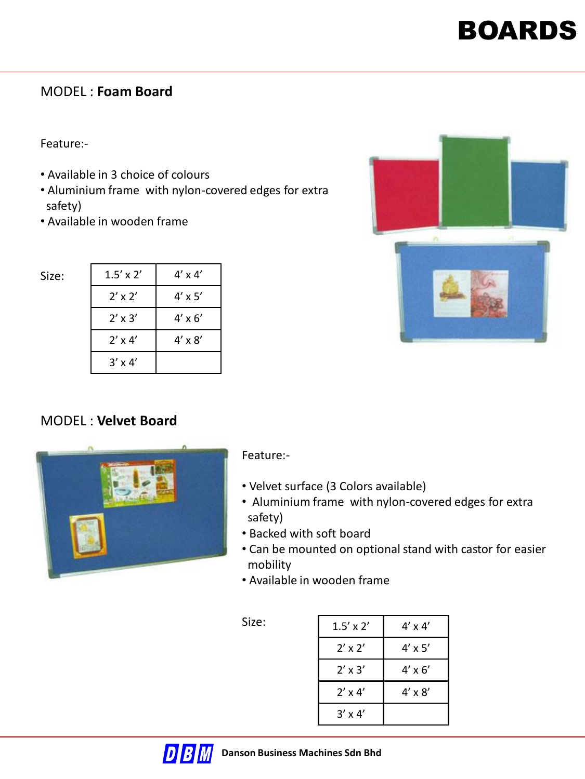#### MODEL : **Foam Board**

Feature:-

Size:

- Available in 3 choice of colours
- Aluminium frame with nylon-covered edges for extra safety)
- Available in wooden frame

| ٠ |  |
|---|--|
|   |  |
|   |  |
|   |  |

| $1.5' \times 2'$ | $4' \times 4'$ |
|------------------|----------------|
| $2'$ x $2'$      | $4' \times 5'$ |
| $2' \times 3'$   | $4' \times 6'$ |
| $2' \times 4'$   | $4' \times 8'$ |
| $3' \times 4'$   |                |

### MODEL : **Velvet Board**



#### Feature:-

- Velvet surface (3 Colors available)
- Aluminium frame with nylon-covered edges for extra safety)
- Backed with soft board
- Can be mounted on optional stand with castor for easier mobility
- Available in wooden frame

| $1.5' \times 2'$ | $4' \times 4'$ |
|------------------|----------------|
| $2'$ x $2'$      | $4' \times 5'$ |
| $2' \times 3'$   | $4' \times 6'$ |
| $2' \times 4'$   | $4' \times 8'$ |
| $3' \times 4'$   |                |

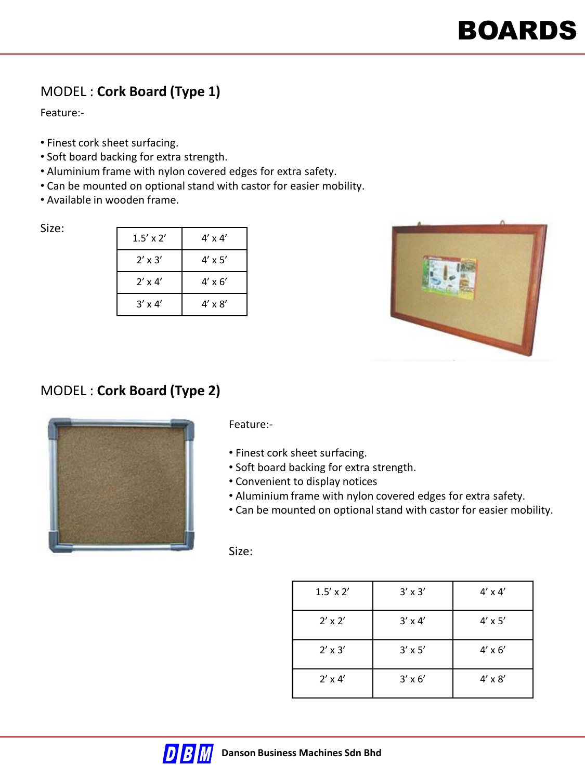## MODEL : **Cork Board (Type 1)**

Feature:-

- Finest cork sheet surfacing.
- Soft board backing for extra strength.
- Aluminium frame with nylon covered edges for extra safety.
- Can be mounted on optional stand with castor for easier mobility.
- Available in wooden frame.

Size:

| $1.5' \times 2'$ | $4' \times 4'$ |
|------------------|----------------|
| $2' \times 3'$   | $4' \times 5'$ |
| $2' \times 4'$   | $4' \times 6'$ |
| $3' \times 4'$   | $4' \times 8'$ |



# MODEL : **Cork Board (Type 2)**



Feature:-

- Finest cork sheet surfacing.
- Soft board backing for extra strength.
- Convenient to display notices
- Aluminium frame with nylon covered edges for extra safety.
- Can be mounted on optional stand with castor for easier mobility.

| $1.5' \times 2'$ | $3' \times 3'$ | $4' \times 4'$ |
|------------------|----------------|----------------|
| $2' \times 2'$   | $3' \times 4'$ | $4' \times 5'$ |
| $2' \times 3'$   | $3' \times 5'$ | $4' \times 6'$ |
| $2' \times 4'$   | $3' \times 6'$ | $4' \times 8'$ |

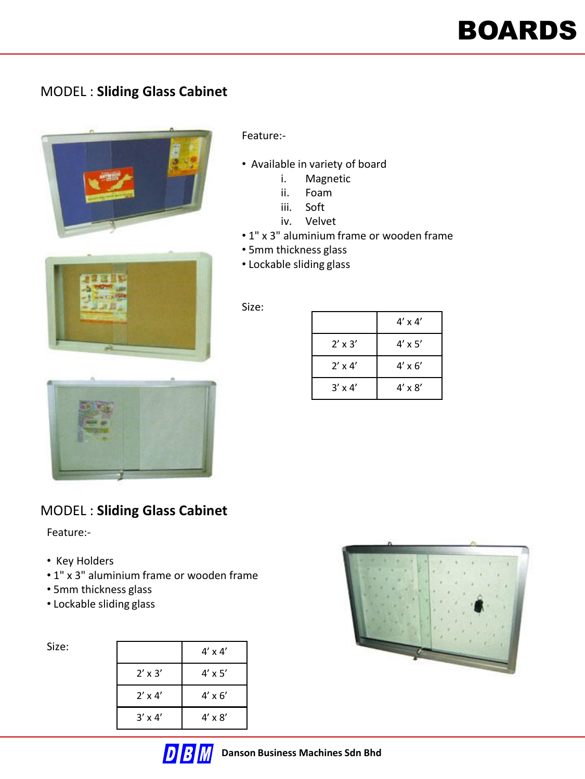### MODEL : **Sliding Glass Cabinet**



#### Feature:-

- Available in variety of board
	- i. Magnetic
	- ii. Foam
	- iii. Soft
	- iv. Velvet
- 1" x 3" aluminium frame or wooden frame
- 5mm thickness glass
- Lockable sliding glass

#### Size:

|                | $4' \times 4'$ |
|----------------|----------------|
| $2' \times 3'$ | $4' \times 5'$ |
| $2' \times 4'$ | $4' \times 6'$ |
| $3' \times 4'$ | $4' \times 8'$ |



### MODEL : **Sliding Glass Cabinet**

#### Feature:-

- Key Holders
- 1" x 3" aluminium frame or wooden frame
- 5mm thickness glass
- Lockable sliding glass

| Size: |                | $4' \times 4'$ |
|-------|----------------|----------------|
|       | $2' \times 3'$ | $4' \times 5'$ |
|       | $2' \times 4'$ | $4' \times 6'$ |
|       | $3' \times 4'$ | $4' \times 8'$ |

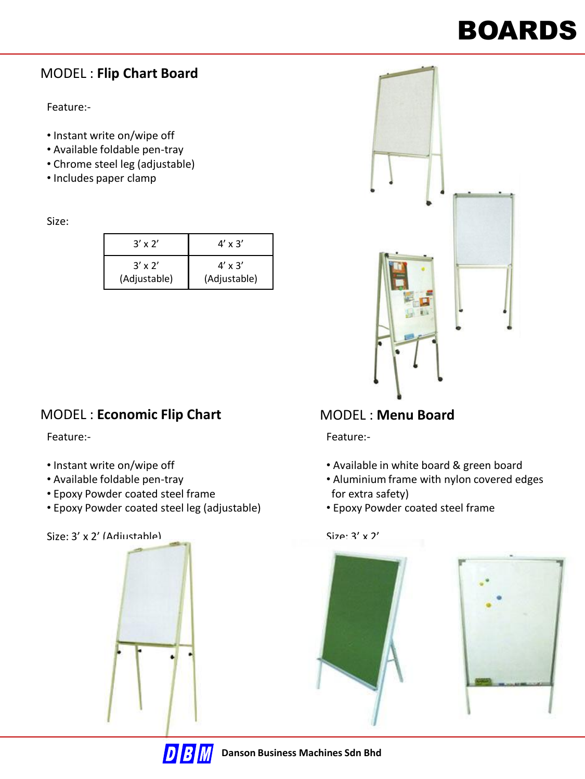### MODEL : **Flip Chart Board**

Feature:-

- Instant write on/wipe off
- Available foldable pen-tray
- Chrome steel leg (adjustable)
- Includes paper clamp

Size:

| $3' \times 2'$ | $4' \times 3'$ |
|----------------|----------------|
| $3' \times 2'$ | $4' \times 3'$ |
| (Adjustable)   | (Adjustable)   |

### MODEL : **Economic Flip Chart**

Feature:-

- Instant write on/wipe off
- Available foldable pen-tray
- Epoxy Powder coated steel frame
- Epoxy Powder coated steel leg (adjustable)

Size: 3' x 2' (Adjustable)





# MODEL : **Menu Board**

Feature:-

- Available in white board & green board
- Aluminium frame with nylon covered edges for extra safety)
- Epoxy Powder coated steel frame

 $Size: 3' \times 2'$ 



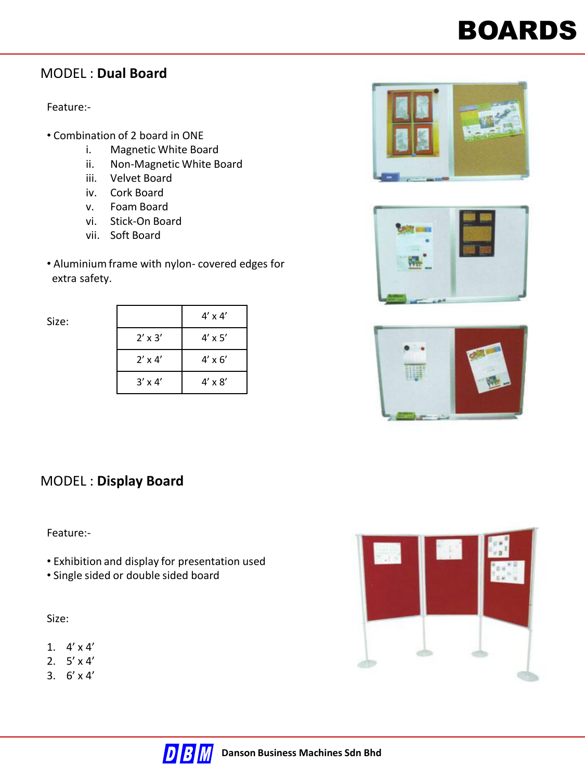### MODEL : **Dual Board**

#### Feature:-

- Combination of 2 board in ONE
	- i. Magnetic White Board
	- ii. Non-Magnetic White Board
	- iii. Velvet Board
	- iv. Cork Board
	- v. Foam Board
	- vi. Stick-On Board
	- vii. Soft Board
- Aluminium frame with nylon- covered edges for extra safety.



|                | $4' \times 4'$ |
|----------------|----------------|
| $2' \times 3'$ | $4' \times 5'$ |
| $2' \times 4'$ | $4' \times 6'$ |
| $3' \times 4'$ | $4' \times 8'$ |







#### MODEL : **Display Board**

#### Feature:-

- Exhibition and display for presentation used
- Single sided or double sided board

- 1.  $4' \times 4'$
- 2.  $5' \times 4'$
- 3.  $6' \times 4'$



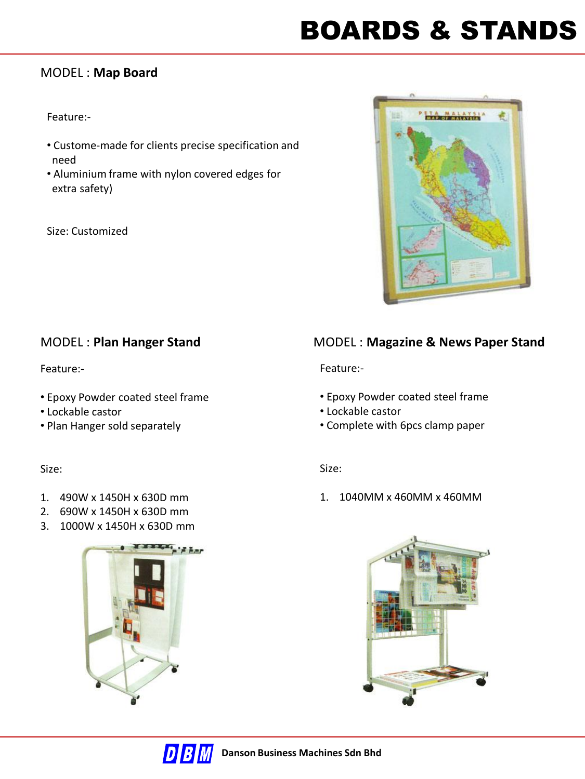# BOARDS & STANDS

#### MODEL : **Map Board**

#### Feature:-

- Custome-made for clients precise specification and need
- Aluminium frame with nylon covered edges for extra safety)

Size: Customized



#### Feature:-

- Epoxy Powder coated steel frame
- Lockable castor
- Plan Hanger sold separately

#### Size:

- 1. 490W x 1450H x 630D mm
- 2. 690W x 1450H x 630D mm
- 3. 1000W x 1450H x 630D mm



### MODEL : **Plan Hanger Stand** MODEL : **Magazine & News Paper Stand**

Feature:-

- Epoxy Powder coated steel frame
- Lockable castor
- Complete with 6pcs clamp paper

#### Size:

1. 1040MM x 460MM x 460MM